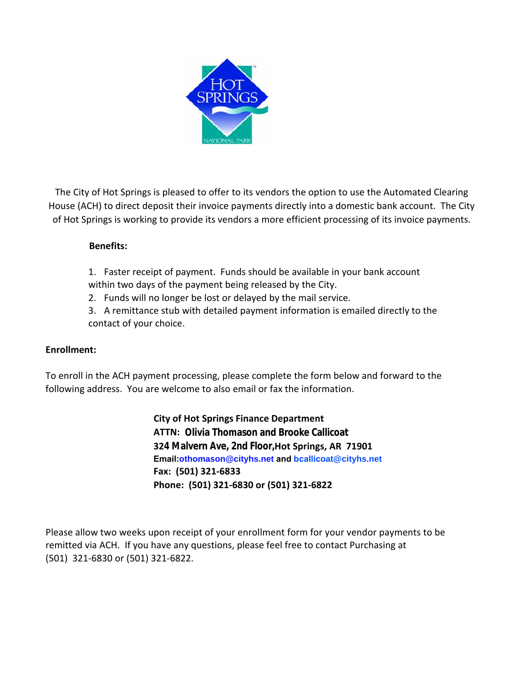

The City of Hot Springs is pleased to offer to its vendors the option to use the Automated Clearing House (ACH) to direct deposit their invoice payments directly into a domestic bank account. The City of Hot Springs is working to provide its vendors a more efficient processing of its invoice payments.

## **Benefits:**

1. Faster receipt of payment. Funds should be available in your bank account within two days of the payment being released by the City.

2. Funds will no longer be lost or delayed by the mail service.

3. A remittance stub with detailed payment information is emailed directly to the contact of your choice.

## **Enrollment:**

To enroll in the ACH payment processing, please complete the form below and forward to the following address. You are welcome to also email or fax the information.

## **City of Hot Springs Finance Department**

 **ATTN: Olivia Thomason and Brooke Callicoat 324 Malvern Ave, 2nd Floor,Hot Springs, AR 71901 Email:othomason@cityhs.net and bcallicoat@cityhs.net Fax: (501) 321-6833 Phone: (501) [321-68](mailto:emwacaster@cityhs.net)30 or (501) 321-6822**

Please allow two weeks upon receipt of your enrollment form for your vendor payments to be remitted via ACH. If you have any questions, please feel free to contact Purchasing at (501) 321-6830 or (501) 321-6822.